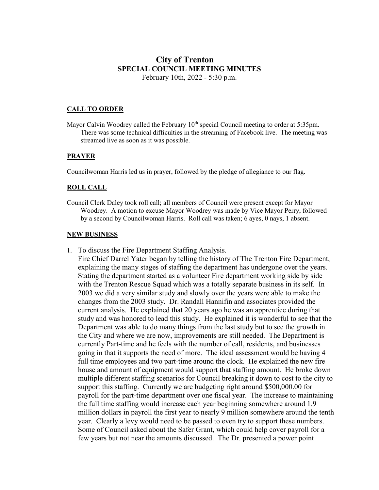## **City of Trenton SPECIAL COUNCIL MEETING MINUTES** February 10th, 2022 - 5:30 p.m.

### **CALL TO ORDER**

Mayor Calvin Woodrey called the February  $10<sup>th</sup>$  special Council meeting to order at 5:35pm. There was some technical difficulties in the streaming of Facebook live. The meeting was streamed live as soon as it was possible.

#### **PRAYER**

Councilwoman Harris led us in prayer, followed by the pledge of allegiance to our flag.

#### **ROLL CALL**

Council Clerk Daley took roll call; all members of Council were present except for Mayor Woodrey. A motion to excuse Mayor Woodrey was made by Vice Mayor Perry, followed by a second by Councilwoman Harris. Roll call was taken; 6 ayes, 0 nays, 1 absent.

### **NEW BUSINESS**

1. To discuss the Fire Department Staffing Analysis.

Fire Chief Darrel Yater began by telling the history of The Trenton Fire Department, explaining the many stages of staffing the department has undergone over the years. Stating the department started as a volunteer Fire department working side by side with the Trenton Rescue Squad which was a totally separate business in its self. In 2003 we did a very similar study and slowly over the years were able to make the changes from the 2003 study. Dr. Randall Hannifin and associates provided the current analysis. He explained that 20 years ago he was an apprentice during that study and was honored to lead this study. He explained it is wonderful to see that the Department was able to do many things from the last study but to see the growth in the City and where we are now, improvements are still needed. The Department is currently Part-time and he feels with the number of call, residents, and businesses going in that it supports the need of more. The ideal assessment would be having 4 full time employees and two part-time around the clock. He explained the new fire house and amount of equipment would support that staffing amount. He broke down multiple different staffing scenarios for Council breaking it down to cost to the city to support this staffing. Currently we are budgeting right around \$500,000.00 for payroll for the part-time department over one fiscal year. The increase to maintaining the full time staffing would increase each year beginning somewhere around 1.9 million dollars in payroll the first year to nearly 9 million somewhere around the tenth year. Clearly a levy would need to be passed to even try to support these numbers. Some of Council asked about the Safer Grant, which could help cover payroll for a few years but not near the amounts discussed. The Dr. presented a power point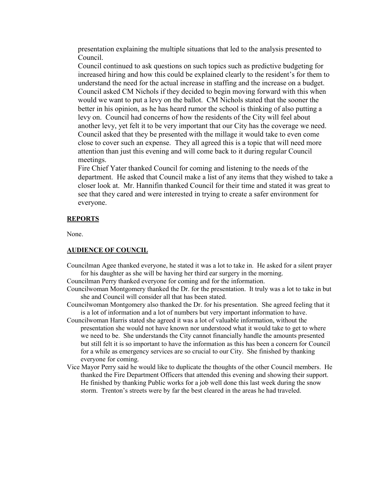presentation explaining the multiple situations that led to the analysis presented to Council.

Council continued to ask questions on such topics such as predictive budgeting for increased hiring and how this could be explained clearly to the resident's for them to understand the need for the actual increase in staffing and the increase on a budget. Council asked CM Nichols if they decided to begin moving forward with this when would we want to put a levy on the ballot. CM Nichols stated that the sooner the better in his opinion, as he has heard rumor the school is thinking of also putting a levy on. Council had concerns of how the residents of the City will feel about another levy, yet felt it to be very important that our City has the coverage we need. Council asked that they be presented with the millage it would take to even come close to cover such an expense. They all agreed this is a topic that will need more attention than just this evening and will come back to it during regular Council meetings.

Fire Chief Yater thanked Council for coming and listening to the needs of the department. He asked that Council make a list of any items that they wished to take a closer look at. Mr. Hannifin thanked Council for their time and stated it was great to see that they cared and were interested in trying to create a safer environment for everyone.

#### **REPORTS**

None.

### **AUDIENCE OF COUNCIL**

Councilman Agee thanked everyone, he stated it was a lot to take in. He asked for a silent prayer for his daughter as she will be having her third ear surgery in the morning.

Councilman Perry thanked everyone for coming and for the information.

- Councilwoman Montgomery thanked the Dr. for the presentation. It truly was a lot to take in but she and Council will consider all that has been stated.
- Councilwoman Montgomery also thanked the Dr. for his presentation. She agreed feeling that it is a lot of information and a lot of numbers but very important information to have.
- Councilwoman Harris stated she agreed it was a lot of valuable information, without the presentation she would not have known nor understood what it would take to get to where we need to be. She understands the City cannot financially handle the amounts presented but still felt it is so important to have the information as this has been a concern for Council for a while as emergency services are so crucial to our City. She finished by thanking everyone for coming.
- Vice Mayor Perry said he would like to duplicate the thoughts of the other Council members. He thanked the Fire Department Officers that attended this evening and showing their support. He finished by thanking Public works for a job well done this last week during the snow storm. Trenton's streets were by far the best cleared in the areas he had traveled.